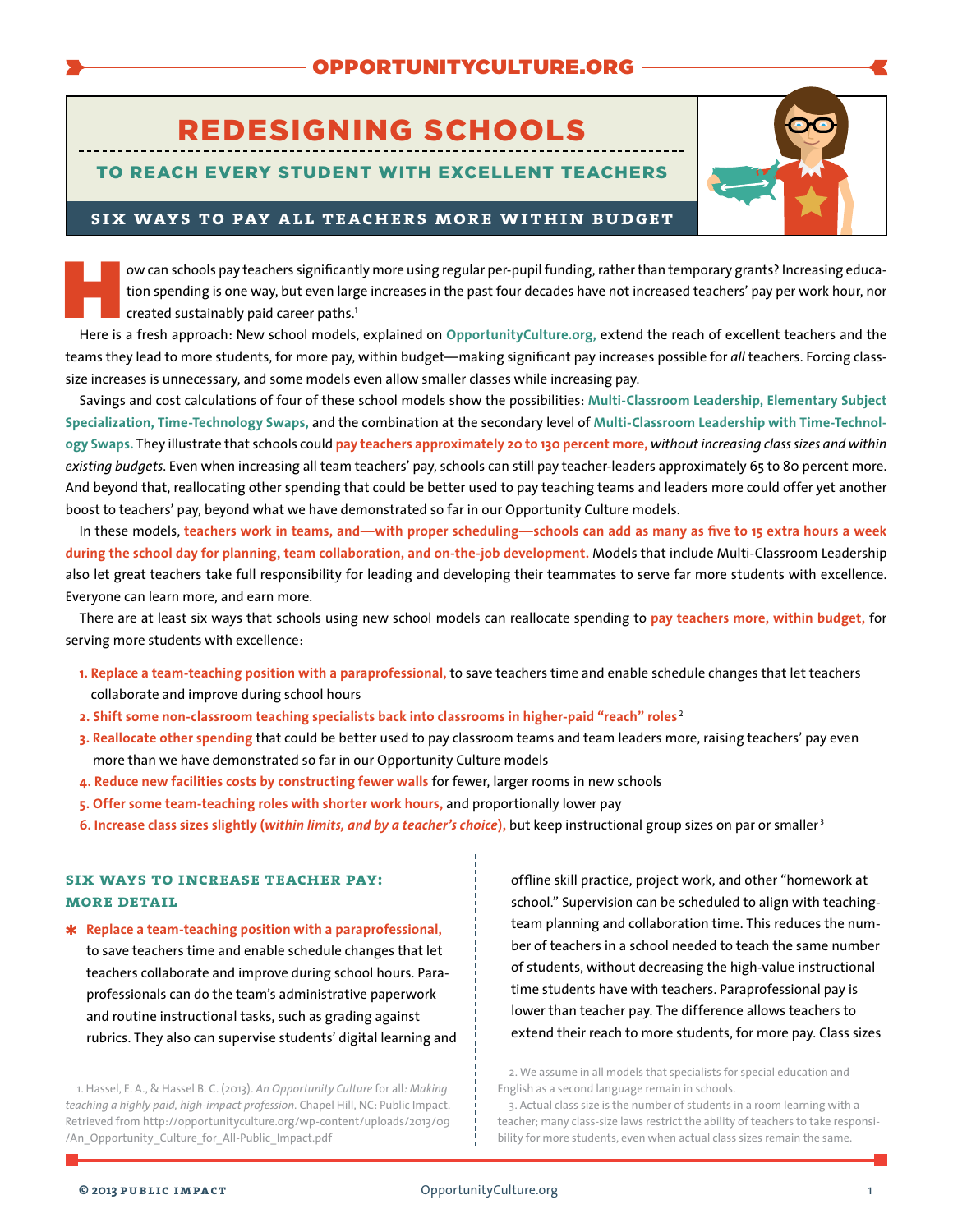# REDESIGNING SCHOOLS

## TO REACH EVERY STUDENT WITH EXCELLENT TEACHERS



### **six ways to pay all teachers more within budget**

ow can schools pay teachers significantly more using regular per-pupil funding, rather than temporary grants? Increasing educa-<br>tion spending is one way, but even large increases in the past four decades have not increased tion spending is one way, but even large increases in the past four decades have not increased teachers' pay per work hour, nor created sustainably paid career paths.<sup>1</sup>

Here is a fresh approach: New school models, explained on **[OpportunityCulture.org](http://opportunityculture.org),** extend the reach of excellent teachers and the teams they lead to more students, for more pay, within budget—making significant pay increases possible for *all* teachers. Forcing classsize increases is unnecessary, and some models even allow smaller classes while increasing pay.

Savings and cost calculations of four of these school models show the possibilities: **[Multi-Classroom](http://opportunityculture.org/wp-content/uploads/2012/07/Financial_Planning_Multi-Classroom_Leadership-Public_Impact.pdf) Leadership, [Elementary](http://opportunityculture.org/wp-content/uploads/2012/07/Financial_Planning_Elem_Subject_Specialization-Public_Impact.pdf) Subject [Specialization](http://opportunityculture.org/wp-content/uploads/2012/07/Financial_Planning_Elem_Subject_Specialization-Public_Impact.pdf), [Time-Technology](http://opportunityculture.org/wp-content/uploads/2012/07/Financial_Planning_Time-Tech_Swap_Rotation-Public_Impact.pdf) Swaps,** and the combination at the secondary level of **[Multi-Classroom](http://opportunityculture.org/wp-content/uploads/2013/10/Financial_Planning_Secondary_Level_Time-Tech_Swap_MCL-Public_Impact.pdf) Leadership with Time-Technology [Swaps](http://opportunityculture.org/wp-content/uploads/2013/10/Financial_Planning_Secondary_Level_Time-Tech_Swap_MCL-Public_Impact.pdf).** They illustrate that schools could **pay teachers approximately 20 to 130 percent more,** *without increasing class sizes and within existing budgets*. Even when increasing all team teachers' pay, schools can still pay teacher-leaders approximately 65 to 80 percent more. And beyond that, reallocating other spending that could be better used to pay teaching teams and leaders more could offer yet another boost to teachers' pay, beyond what we have demonstrated so far in our Opportunity Culture models.

In these models, teachers work in teams, and—with proper scheduling—schools can add as many as five to 15 extra hours a week **during the school day for planning, team collaboration, and on-the-job development.** Models that include Multi-Classroom Leadership also let great teachers take full responsibility for leading and developing their teammates to serve far more students with excellence. Everyone can learn more, and earn more.

There are at least six ways that schools using new school models can reallocate spending to **pay teachers more, within budget,** for serving more students with excellence:

- **1. Replace a team-teaching position with a paraprofessional,** to save teachers time and enable schedule changes that let teachers collaborate and improve during school hours
- **2. Shift some non-classroom teaching specialists back into classrooms in higher-paid "reach" roles** <sup>2</sup>
- **3. Reallocate other spending** that could be better used to pay classroom teams and team leaders more, raising teachers' pay even more than we have demonstrated so far in our Opportunity Culture models
- **4. Reduce new facilities costs by constructing fewer walls** for fewer, larger rooms in new schools
- **5. Offer some team-teaching roles with shorter work hours,** and proportionally lower pay
- **6. Increase class sizes slightly (***within limits, and by a teacher's choice***),** but keep instructional group sizes on par or smaller <sup>3</sup>

## **six ways to increase teacher pay: more detail**

✱ **Replace a team-teaching position with a paraprofessional,** to save teachers time and enable schedule changes that let teachers collaborate and improve during school hours. Paraprofessionals can do the team's administrative paperwork and routine instructional tasks, such as grading against rubrics. They also can supervise students' digital learning and

1. Hassel, E. A., & Hassel B. C. (2013). *An Opportunity Culture* for all*: Making teaching a highly paid, high-impact profession.* Chapel Hill, NC: Public Impact. Retrieved from [http://opportunityculture.org/wp-content/uploads/2013/09](http://opportunityculture.org/wp-content/uploads/2013/09/An_Opportunity_Culture_for_All-Public_Impact.pdf) [/An\\_Opportunity\\_Culture\\_for\\_All-Public\\_Impact.pdf](http://opportunityculture.org/wp-content/uploads/2013/09/An_Opportunity_Culture_for_All-Public_Impact.pdf)

offline skill practice, project work, and other "homework at school." Supervision can be scheduled to align with teachingteam planning and collaboration time. This reduces the number of teachers in a school needed to teach the same number of students, without decreasing the high-value instructional time students have with teachers. Paraprofessional pay is lower than teacher pay. The difference allows teachers to extend their reach to more students, for more pay. Class sizes

2. We assume in all models that specialists for special education and English as a second language remain in schools.

3. Actual class size is the number of students in a room learning with a teacher; many class-size laws restrict the ability of teachers to take responsibility for more students, even when actual class sizes remain the same.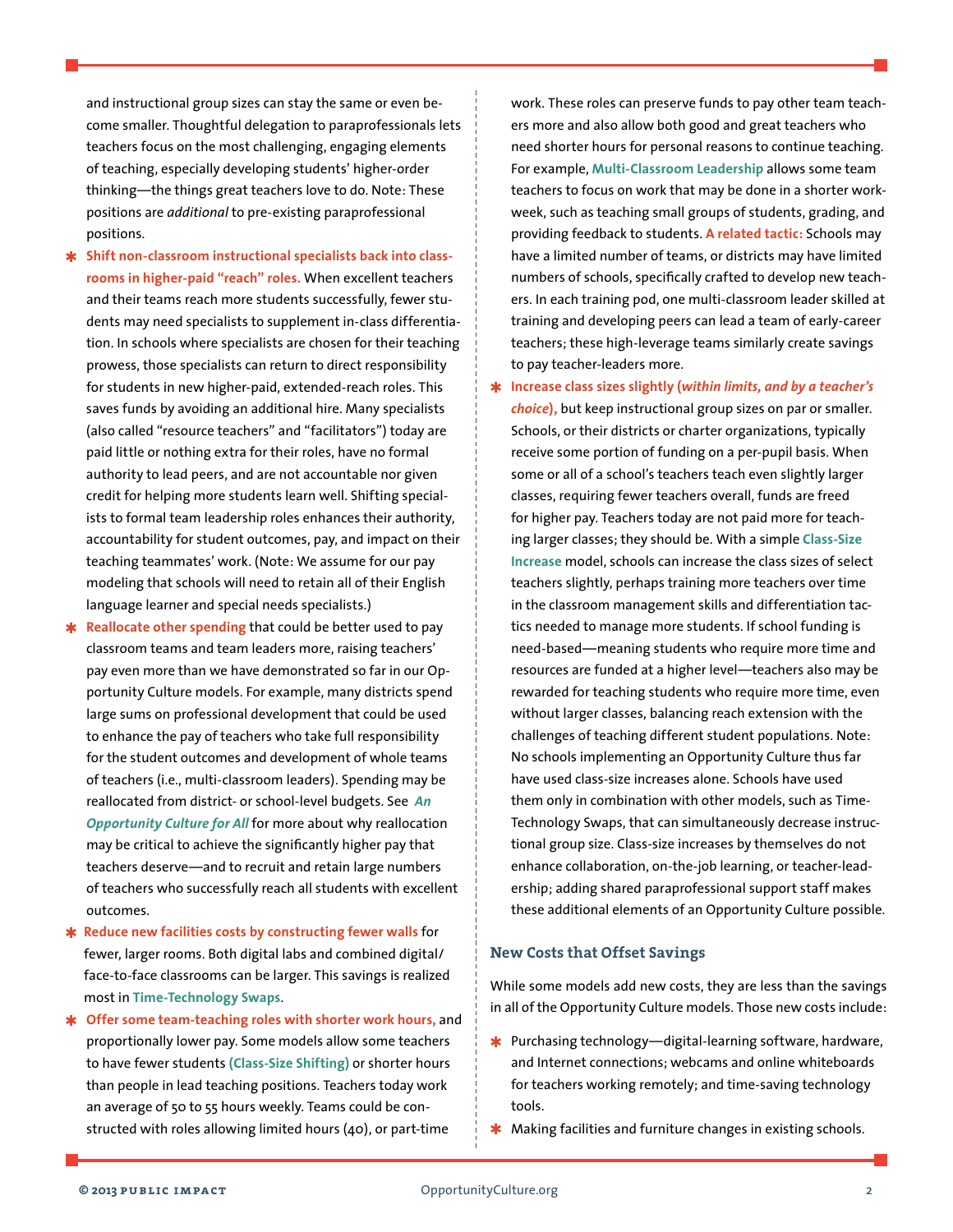and instructional group sizes can stay the same or even become smaller. Thoughtful delegation to paraprofessionals lets teachers focus on the most challenging, engaging elements of teaching, especially developing students' higher-order thinking—the things great teachers love to do. Note: These positions are *additional* to pre-existing paraprofessional positions.

- ✱ **Shift non-classroom instructional specialists back into classrooms in higher-paid "reach" roles.** When excellent teachers and their teams reach more students successfully, fewer students may need specialists to supplement in-class differentiation. In schools where specialists are chosen for their teaching prowess, those specialists can return to direct responsibility for students in new higher-paid, extended-reach roles. This saves funds by avoiding an additional hire. Many specialists (also called "resource teachers" and "facilitators") today are paid little or nothing extra for their roles, have no formal authority to lead peers, and are not accountable nor given credit for helping more students learn well. Shifting specialists to formal team leadership roles enhances their authority, accountability for student outcomes, pay, and impact on their teaching teammates' work. (Note: We assume for our pay modeling that schools will need to retain all of their English language learner and special needs specialists.)
- **Reallocate other spending** that could be better used to pay classroom teams and team leaders more, raising teachers' pay even more than we have demonstrated so far in our Opportunity Culture models. For example, many districts spend large sums on professional development that could be used to enhance the pay of teachers who take full responsibility for the student outcomes and development of whole teams of teachers (i.e., multi-classroom leaders). Spending may be reallocated from district- or school-level budgets. See *An O[pportunity Culture for All](http://opportunityculture.org/wp-content/uploads/2013/09/An_Opportunity_Culture_for_All-Public_Impact.pdf)* for more about why reallocation may be critical to achieve the significantly higher pay that teachers deserve—and to recruit and retain large numbers of teachers who successfully reach all students with excellent outcomes.
- ✱ **Reduce new facilities costs by constructing fewer walls** for fewer, larger rooms. Both digital labs and combined digital/ face-to-face classrooms can be larger. This savings is realized most in **[Time-Technology](http://opportunityculture.org/reach/time-tech-swaps/) Swaps**.
- ✱ **Offer some team-teaching roles with shorter work hours,** and proportionally lower pay. Some models allow some teachers to have fewer students **([Class-Size](http://opportunityculture.org/wp-content/uploads/2012/04/Class-Size_Shifting_School_Model-Public_Impact.pdf) Shifting)** or shorter hours than people in lead teaching positions. Teachers today work an average of 50 to 55 hours weekly. Teams could be constructed with roles allowing limited hours (40), or part-time

work. These roles can preserve funds to pay other team teachers more and also allow both good and great teachers who need shorter hours for personal reasons to continue teaching. For example, **[Multi-Classroom](http://opportunityculture.org/wp-content/uploads/2012/04/Multi-Classroom_Leadership_School_Model-Public_Impact.pdf) Leadership** allows some team teachers to focus on work that may be done in a shorter workweek, such as teaching small groups of students, grading, and providing feedback to students. **A related tactic:** Schools may have a limited number of teams, or districts may have limited numbers of schools, specifically crafted to develop new teachers. In each training pod, one multi-classroom leader skilled at training and developing peers can lead a team of early-career teachers; these high-leverage teams similarly create savings to pay teacher-leaders more.

✱ **Increase class sizes slightly (***within limits, and by a teacher's choice***),** but keep instructional group sizes on par or smaller. Schools, or their districts or charter organizations, typically receive some portion of funding on a per-pupil basis. When some or all of a school's teachers teach even slightly larger classes, requiring fewer teachers overall, funds are freed for higher pay. Teachers today are not paid more for teaching larger classes; they should be. With a simple **[Class-Size](http://opportunityculture.org/wp-content/uploads/2012/04/Class-Size_Increases_School_Model-Public_Impact.pdf) [Increase](http://opportunityculture.org/wp-content/uploads/2012/04/Class-Size_Increases_School_Model-Public_Impact.pdf)** model, schools can increase the class sizes of select teachers slightly, perhaps training more teachers over time in the classroom management skills and differentiation tactics needed to manage more students. If school funding is need-based—meaning students who require more time and resources are funded at a higher level—teachers also may be rewarded for teaching students who require more time, even without larger classes, balancing reach extension with the challenges of teaching different student populations. Note: No schools implementing an Opportunity Culture thus far have used class-size increases alone. Schools have used them only in combination with other models, such as Time-Technology Swaps, that can simultaneously decrease instructional group size. Class-size increases by themselves do not enhance collaboration, on-the-job learning, or teacher-leadership; adding shared paraprofessional support staff makes these additional elements of an Opportunity Culture possible.

#### **New Costs that Offset Savings**

While some models add new costs, they are less than the savings in all of the Opportunity Culture models. Those new costs include:

- $*$  Purchasing technology—digital-learning software, hardware, and Internet connections; webcams and online whiteboards for teachers working remotely; and time-saving technology tools.
- **★** Making facilities and furniture changes in existing schools.